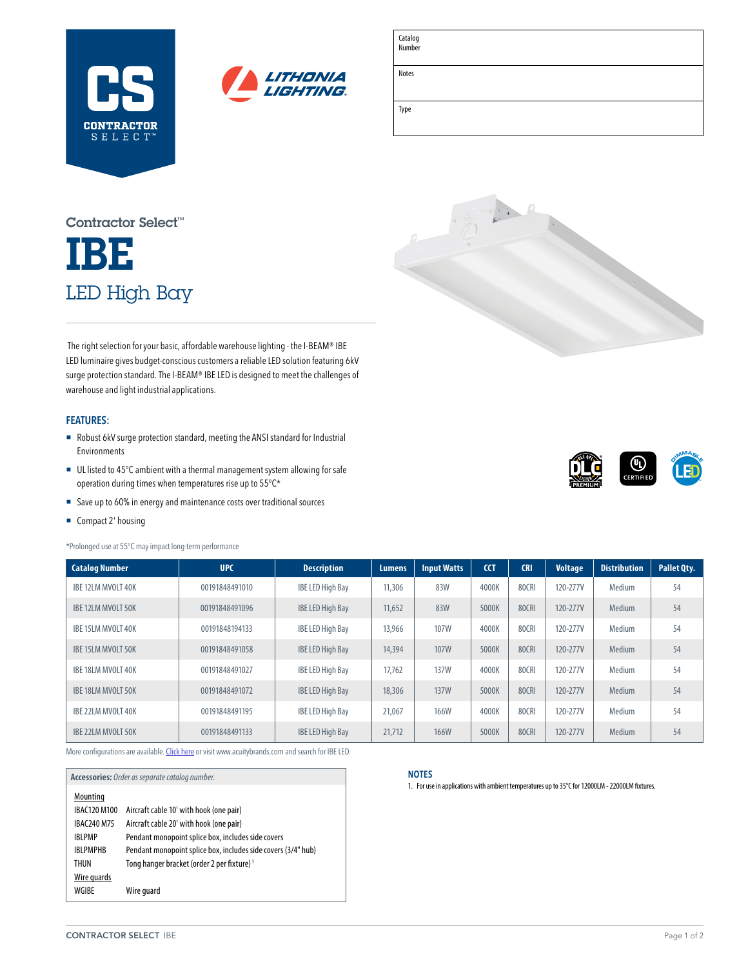



| Catalog<br>Number |  |
|-------------------|--|
| Notes             |  |
| Type              |  |

# IBE LED High Bay Contractor Select™

 The right selection for your basic, affordable warehouse lighting - the I-BEAM® IBE LED luminaire gives budget-conscious customers a reliable LED solution featuring 6kV surge protection standard. The I-BEAM® IBE LED is designed to meet the challenges of warehouse and light industrial applications.

### **FEATURES:**

- ¡ Robust 6kV surge protection standard, meeting the ANSI standard for Industrial Environments
- UL listed to 45°C ambient with a thermal management system allowing for safe operation during times when temperatures rise up to 55°C\*
- Save up to 60% in energy and maintenance costs over traditional sources
- Compact 2' housing

\*Prolonged use at 55°C may impact long-term performance

| <b>Catalog Number</b>     | <b>UPC</b>     | <b>Description</b>      | <b>Lumens</b> | <b>Input Watts</b> | <b>CCT</b> | <b>CRI</b>   | <b>Voltage</b> | <b>Distribution</b> | Pallet Qty. |
|---------------------------|----------------|-------------------------|---------------|--------------------|------------|--------------|----------------|---------------------|-------------|
| IBE 12LM MVOLT 40K        | 00191848491010 | <b>IBE LED High Bay</b> | 11,306        | 83W                | 4000K      | 80CRI        | 120-277V       | Medium              | 54          |
| IBE 12LM MVOLT 50K        | 00191848491096 | <b>IBE LED High Bay</b> | 11,652        | 83W                | 5000K      | 80CRI        | 120-277V       | Medium              | 54          |
| IBE 15LM MVOLT 40K        | 00191848194133 | <b>IBE LED High Bay</b> | 13,966        | 107W               | 4000K      | 80CRI        | 120-277V       | Medium              | 54          |
| IBE 15LM MVOLT 50K        | 00191848491058 | <b>IBE LED High Bay</b> | 14,394        | 107W               | 5000K      | <b>80CRI</b> | 120-277V       | Medium              | 54          |
| IBE 18LM MVOLT 40K        | 00191848491027 | <b>IBE LED High Bay</b> | 17.762        | <b>137W</b>        | 4000K      | 80CRI        | 120-277V       | Medium              | 54          |
| IBE 18LM MVOLT 50K        | 00191848491072 | <b>IBE LED High Bay</b> | 18,306        | <b>137W</b>        | 5000K      | 80CRI        | 120-277V       | Medium              | 54          |
| IBE 22LM MVOLT 40K        | 00191848491195 | <b>IBE LED High Bay</b> | 21,067        | <b>166W</b>        | 4000K      | 80CRI        | 120-277V       | Medium              | 54          |
| <b>IBE 22LM MVOLT 50K</b> | 00191848491133 | <b>IBE LED High Bay</b> | 21,712        | <b>166W</b>        | 5000K      | 80CRI        | 120-277V       | Medium              | 54          |

More configurations are available. [Click here](https://www.acuitybrands.com/products/detail/834919/Lithonia-Lighting/I-BEAM-IBE-High-Bay/I-BEAM-IBE-Basic-Affordable-and-Reliable-LED-High-Bay) or visit [www.acuitybrands.com](http://www.acuitybrands.com) and search for IBE LED.

| Accessories: Order as separate catalog number. |                                                               |  |  |
|------------------------------------------------|---------------------------------------------------------------|--|--|
| Mounting                                       |                                                               |  |  |
| IBAC120 M100                                   | Aircraft cable 10' with hook (one pair)                       |  |  |
| IBAC240 M75                                    | Aircraft cable 20' with hook (one pair)                       |  |  |
| <b>IBLPMP</b>                                  | Pendant monopoint splice box, includes side covers            |  |  |
| <b>IBLPMPHB</b>                                | Pendant monopoint splice box, includes side covers (3/4" hub) |  |  |
| THUN                                           | Tong hanger bracket (order 2 per fixture) <sup>1</sup>        |  |  |
| Wire guards                                    |                                                               |  |  |
| WGIBE                                          | Wire guard                                                    |  |  |
|                                                |                                                               |  |  |



1. For use in applications with ambient temperatures up to 35°C for 12000LM - 22000LM fixtures.